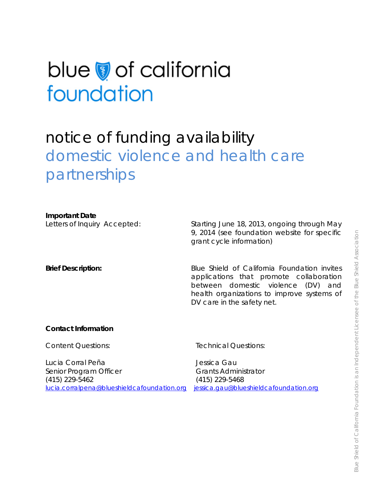# blue of california foundation

# notice of funding availability domestic violence and health care partnerships

# **Important Date**

Letters of Inquiry Accepted: Starting June 18, 2013, ongoing through May 9, 2014 (see foundation website for specific grant cycle information)

**Brief Description:** Blue Shield of California Foundation invites applications that promote collaboration between domestic violence (DV) and health organizations to improve systems of DV care in the safety net.

# **Contact Information**

Content Questions:

Technical Questions:

Lucia Corral Peña Senior Program Officer (415) 229-5462 [lucia.corralpena@blueshieldcafoundation.org](mailto:lucia.corralpena@blueshieldcafoundation.org)

Jessica Gau Grants Administrator (415) 229-5468 [jessica.gau@blueshieldcafoundation.org](mailto:jessica.gau@blueshieldcafoundation.org)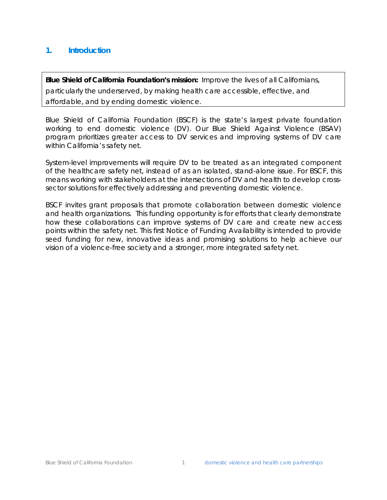# **1. Introduction**

**Blue Shield of California Foundation's mission:** Improve the lives of all Californians, particularly the underserved, by making health care accessible, effective, and affordable, and by ending domestic violence.

Blue Shield of California Foundation (BSCF) is the state's largest private foundation working to end domestic violence (DV). Our Blue Shield Against Violence (BSAV) program prioritizes greater access to DV services and improving systems of DV care within California's safety net.

System-level improvements will require DV to be treated as an integrated component of the healthcare safety net, instead of as an isolated, stand-alone issue. For BSCF, this means working with stakeholders at the intersections of DV and health to develop crosssector solutions for effectively addressing and preventing domestic violence.

BSCF invites grant proposals that promote collaboration between domestic violence and health organizations. This funding opportunity is for efforts that clearly demonstrate how these collaborations can improve systems of DV care and create new access points within the safety net. This first Notice of Funding Availability is intended to provide seed funding for new, innovative ideas and promising solutions to help achieve our vision of a violence-free society and a stronger, more integrated safety net.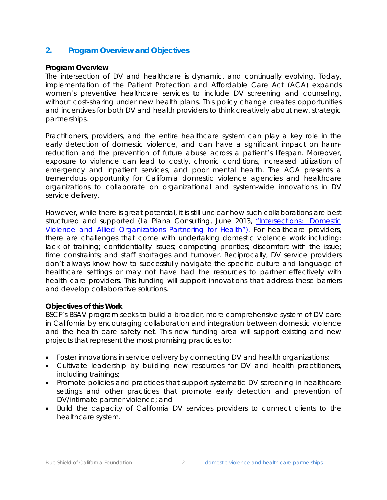# **2. Program Overview and Objectives**

# **Program Overview**

The intersection of DV and healthcare is dynamic, and continually evolving. Today, implementation of the Patient Protection and Affordable Care Act (ACA) expands women's preventive healthcare services to include DV screening and counseling, without cost-sharing under new health plans. This policy change creates opportunities and incentives for both DV and health providers to think creatively about new, strategic partnerships.

Practitioners, providers, and the entire healthcare system can play a key role in the early detection of domestic violence, and can have a significant impact on harmreduction and the prevention of future abuse across a patient's lifespan. Moreover, exposure to violence can lead to costly, chronic conditions, increased utilization of emergency and inpatient services, and poor mental health. The ACA presents a tremendous opportunity for California domestic violence agencies and healthcare organizations to collaborate on organizational and system-wide innovations in DV service delivery.

However, while there is great potential, it is still unclear how such collaborations are best structured and supported (La Piana Consulting, June 2013, ["Intersections: Domestic](http://www.blueshieldcafoundation.org/sites/default/files/publications/downloadable/Intersections%20-%20Domestic%20Violence%20and%20Allied%20Organizations%20Partnering%20for%20Health.pdf)  [Violence and Allied Organizations Partnering for Health"\).](http://www.blueshieldcafoundation.org/sites/default/files/publications/downloadable/Intersections%20-%20Domestic%20Violence%20and%20Allied%20Organizations%20Partnering%20for%20Health.pdf) For healthcare providers, there are challenges that come with undertaking domestic violence work including: lack of training; confidentiality issues; competing priorities; discomfort with the issue; time constraints; and staff shortages and turnover. Reciprocally, DV service providers don't always know how to successfully navigate the specific culture and language of healthcare settings or may not have had the resources to partner effectively with health care providers. This funding will support innovations that address these barriers and develop collaborative solutions.

# **Objectives of this Work**

BSCF's BSAV program seeks to build a broader, more comprehensive system of DV care in California by encouraging collaboration and integration between domestic violence and the health care safety net. This new funding area will support existing and new projects that represent the most promising practices to:

- Foster innovations in service delivery by connecting DV and health organizations;
- Cultivate leadership by building new resources for DV and health practitioners, including trainings;
- Promote policies and practices that support systematic DV screening in healthcare settings and other practices that promote early detection and prevention of DV/intimate partner violence; and
- Build the capacity of California DV services providers to connect clients to the healthcare system.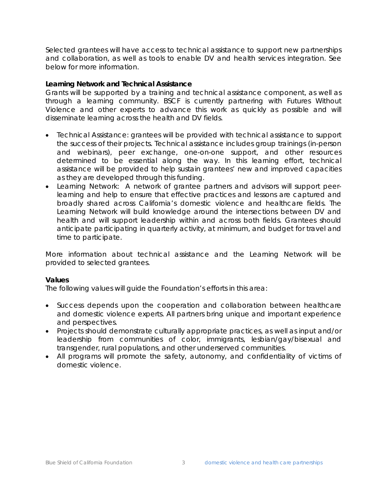Selected grantees will have access to technical assistance to support new partnerships and collaboration, as well as tools to enable DV and health services integration. See below for more information.

#### **Learning Network and Technical Assistance**

Grants will be supported by a training and technical assistance component, as well as through a learning community. BSCF is currently partnering with Futures Without Violence and other experts to advance this work as quickly as possible and will disseminate learning across the health and DV fields.

- Technical Assistance: grantees will be provided with technical assistance to support the success of their projects. Technical assistance includes group trainings (in-person and webinars), peer exchange, one-on-one support, and other resources determined to be essential along the way. In this learning effort, technical assistance will be provided to help sustain grantees' new and improved capacities as they are developed through this funding.
- Learning Network: A network of grantee partners and advisors will support peerlearning and help to ensure that effective practices and lessons are captured and broadly shared across California's domestic violence and healthcare fields. The Learning Network will build knowledge around the intersections between DV and health and will support leadership within and across both fields. Grantees should anticipate participating in quarterly activity, at minimum, and budget for travel and time to participate.

More information about technical assistance and the Learning Network will be provided to selected grantees.

# **Values**

The following values will guide the Foundation's efforts in this area:

- Success depends upon the cooperation and collaboration between healthcare and domestic violence experts. All partners bring unique and important experience and perspectives.
- Projects should demonstrate culturally appropriate practices, as well as input and/or leadership from communities of color, immigrants, lesbian/gay/bisexual and transgender, rural populations, and other underserved communities.
- All programs will promote the safety, autonomy, and confidentiality of victims of domestic violence.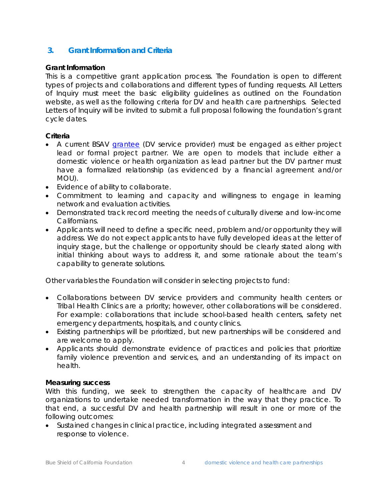# **3. Grant Information and Criteria**

# **Grant Information**

This is a competitive grant application process. The Foundation is open to different types of projects and collaborations and different types of funding requests. All Letters of Inquiry must meet the basic eligibility guidelines as outlined on the Foundation website, as well as the following criteria for DV and health care partnerships. Selected Letters of Inquiry will be invited to submit a full proposal following the foundation's grant cycle dates.

# **Criteria**

- A current BSAV [grantee](http://blueshieldcafoundation.org/grants/grantees) (DV service provider) must be engaged as either project lead or formal project partner. We are open to models that include either a domestic violence or health organization as lead partner but the DV partner must have a formalized relationship (as evidenced by a financial agreement and/or MOU).
- Evidence of ability to collaborate.
- Commitment to learning and capacity and willingness to engage in learning network and evaluation activities.
- Demonstrated track record meeting the needs of culturally diverse and low-income Californians.
- Applicants will need to define a specific need, problem and/or opportunity they will address. We do not expect applicants to have fully developed ideas at the letter of inquiry stage, but the challenge or opportunity should be clearly stated along with initial thinking about ways to address it, and some rationale about the team's capability to generate solutions.

Other variables the Foundation will consider in selecting projects to fund:

- Collaborations between DV service providers and community health centers or Tribal Health Clinics are a priority; however, other collaborations will be considered. For example: collaborations that include school-based health centers, safety net emergency departments, hospitals, and county clinics.
- Existing partnerships will be prioritized, but new partnerships will be considered and are welcome to apply.
- Applicants should demonstrate evidence of practices and policies that prioritize family violence prevention and services, and an understanding of its impact on health.

# **Measuring success**

With this funding, we seek to strengthen the capacity of healthcare and DV organizations to undertake needed transformation in the way that they practice. To that end, a successful DV and health partnership will result in one or more of the following outcomes:

• Sustained changes in clinical practice, including integrated assessment and response to violence.